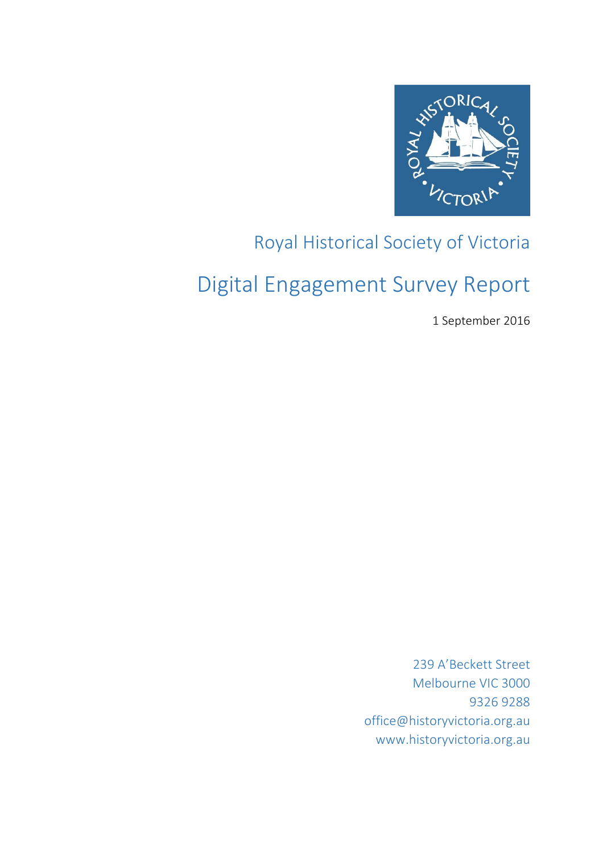

## Royal Historical Society of Victoria

# Digital Engagement Survey Report

1 September 2016

239 A'Beckett Street Melbourne VIC 3000 9326 9288 office@historyvictoria.org.au www.historyvictoria.org.au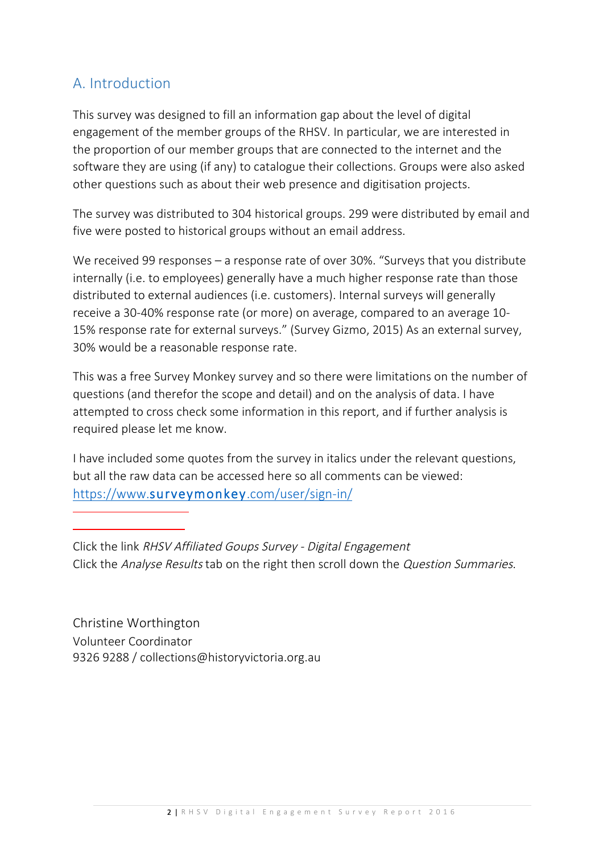## A. Introduction

This survey was designed to fill an information gap about the level of digital engagement of the member groups of the RHSV. In particular, we are interested in the proportion of our member groups that are connected to the internet and the software they are using (if any) to catalogue their collections. Groups were also asked other questions such as about their web presence and digitisation projects.

The survey was distributed to 304 historical groups. 299 were distributed by email and five were posted to historical groups without an email address.

We received 99 responses – a response rate of over 30%. "Surveys that you distribute internally (i.e. to employees) generally have a much higher response rate than those distributed to external audiences (i.e. customers). Internal surveys will generally receive a 30-40% response rate (or more) on average, compared to an average 10- 15% response rate for external surveys." (Survey Gizmo, 2015) As an external survey, 30% would be a reasonable response rate.

This was a free Survey Monkey survey and so there were limitations on the number of questions (and therefor the scope and detail) and on the analysis of data. I have attempted to cross check some information in this report, and if further analysis is required please let me know.

I have included some quotes from the survey in italics under the relevant questions, but all the raw data can be accessed here so all comments can be viewed: https://www.surveymonkey.com/user/sign-in/

Click the link RHSV Affiliated Goups Survey - Digital Engagement Click the Analyse Results tab on the right then scroll down the Question Summaries.

Christine Worthington Volunteer Coordinator 9326 9288 / collections@historyvictoria.org.au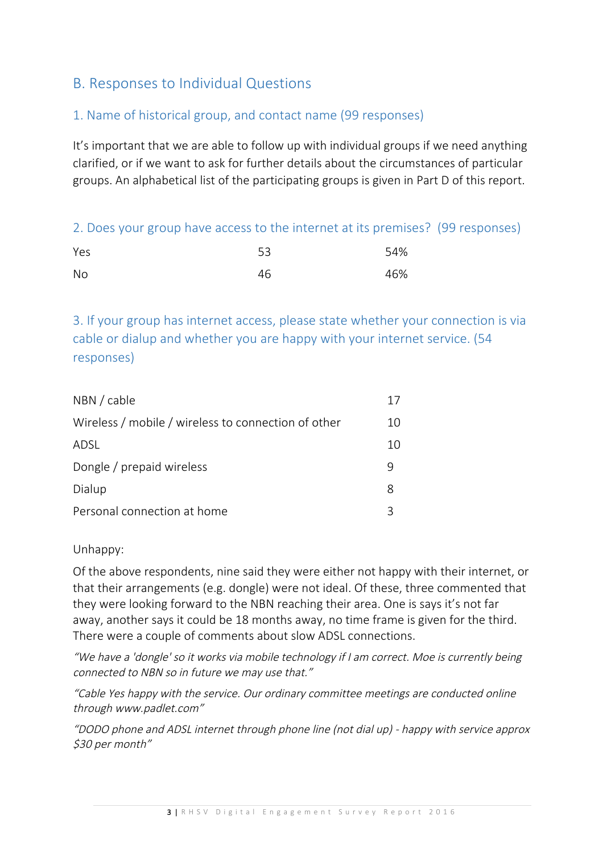## B. Responses to Individual Questions

#### 1. Name of historical group, and contact name (99 responses)

It's important that we are able to follow up with individual groups if we need anything clarified, or if we want to ask for further details about the circumstances of particular groups. An alphabetical list of the participating groups is given in Part D of this report.

2. Does your group have access to the internet at its premises? (99 responses)

| Yes       | 53 | 54% |
|-----------|----|-----|
| <b>No</b> | 46 | 46% |

3. If your group has internet access, please state whether your connection is via cable or dialup and whether you are happy with your internet service. (54 responses)

| NBN / cable                                         |    |
|-----------------------------------------------------|----|
| Wireless / mobile / wireless to connection of other | 10 |
| ADSL                                                | 10 |
| Dongle / prepaid wireless                           |    |
| Dialup                                              | 8  |
| Personal connection at home                         | コ  |

Unhappy:

Of the above respondents, nine said they were either not happy with their internet, or that their arrangements (e.g. dongle) were not ideal. Of these, three commented that they were looking forward to the NBN reaching their area. One is says it's not far away, another says it could be 18 months away, no time frame is given for the third. There were a couple of comments about slow ADSL connections.

"We have a 'dongle' so it works via mobile technology if I am correct. Moe is currently being connected to NBN so in future we may use that."

"Cable Yes happy with the service. Our ordinary committee meetings are conducted online through www.padlet.com"

"DODO phone and ADSL internet through phone line (not dial up) - happy with service approx \$30 per month"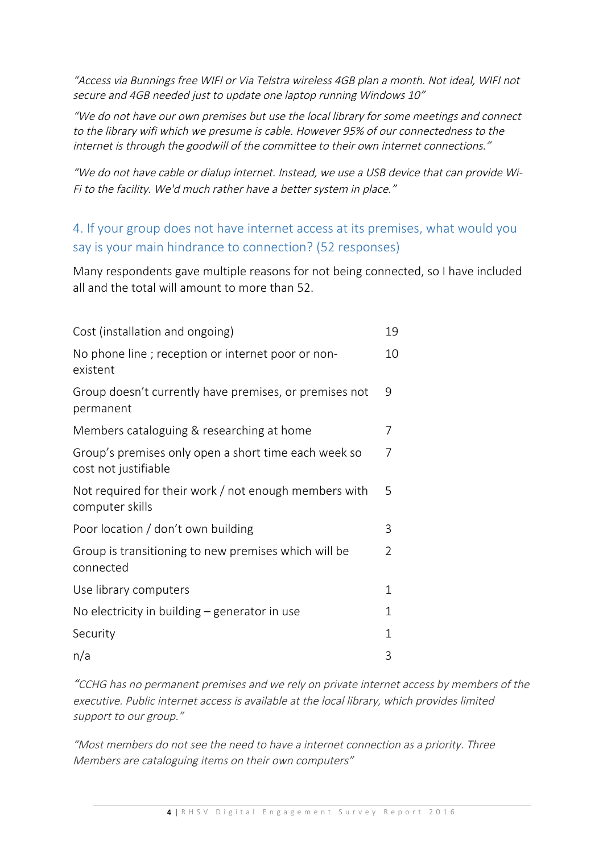"Access via Bunnings free WIFI or Via Telstra wireless 4GB plan a month. Not ideal, WIFI not secure and 4GB needed just to update one laptop running Windows 10"

"We do not have our own premises but use the local library for some meetings and connect to the library wifi which we presume is cable. However 95% of our connectedness to the internet is through the goodwill of the committee to their own internet connections."

"We do not have cable or dialup internet. Instead, we use a USB device that can provide Wi-Fi to the facility. We'd much rather have a better system in place."

## 4. If your group does not have internet access at its premises, what would you say is your main hindrance to connection? (52 responses)

Many respondents gave multiple reasons for not being connected, so I have included all and the total will amount to more than 52.

| Cost (installation and ongoing)                                              | 19             |
|------------------------------------------------------------------------------|----------------|
| No phone line; reception or internet poor or non-<br>existent                | 10             |
| Group doesn't currently have premises, or premises not<br>permanent          | 9              |
| Members cataloguing & researching at home                                    | 7              |
| Group's premises only open a short time each week so<br>cost not justifiable | 7              |
| Not required for their work / not enough members with<br>computer skills     | 5              |
| Poor location / don't own building                                           | 3              |
| Group is transitioning to new premises which will be<br>connected            | $\mathfrak{D}$ |
| Use library computers                                                        | $\mathbf{1}$   |
| No electricity in building $-$ generator in use                              | $\mathbf{1}$   |
| Security                                                                     | 1              |
| n/a                                                                          | 3              |

"CCHG has no permanent premises and we rely on private internet access by members of the executive. Public internet access is available at the local library, which provides limited support to our group."

"Most members do not see the need to have a internet connection as a priority. Three Members are cataloguing items on their own computers"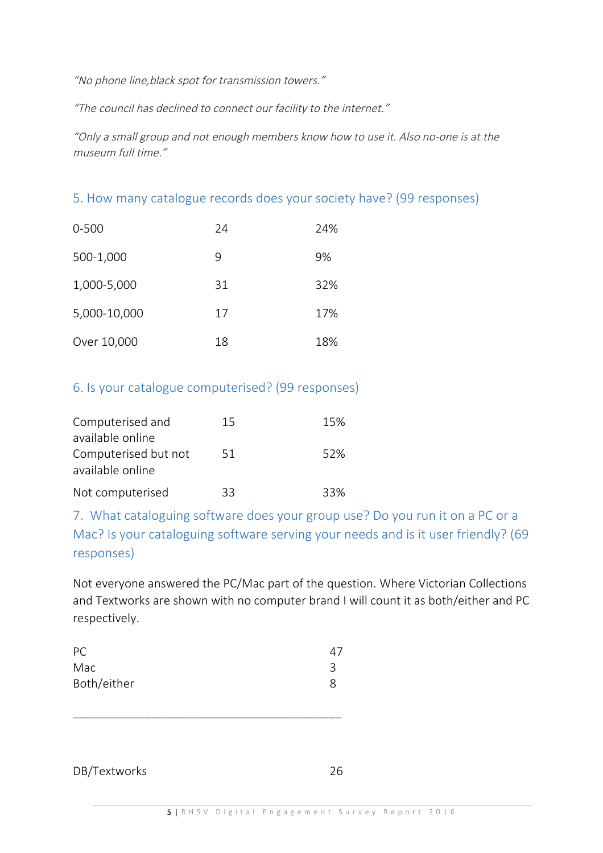"No phone line,black spot for transmission towers."

"The council has declined to connect our facility to the internet."

"Only a small group and not enough members know how to use it. Also no-one is at the museum full time."

5. How many catalogue records does your society have? (99 responses)

| $0 - 500$    | 24 | 24% |
|--------------|----|-----|
| 500-1,000    | 9  | 9%  |
| 1,000-5,000  | 31 | 32% |
| 5,000-10,000 | 17 | 17% |
| Over 10,000  | 18 | 18% |

#### 6. Is your catalogue computerised? (99 responses)

| Computerised and     | 15 | 15% |
|----------------------|----|-----|
| available online     |    |     |
| Computerised but not | 51 | 52% |
| available online     |    |     |
| Not computerised     | 33 | 33% |

7. What cataloguing software does your group use? Do you run it on a PC or a Mac? Is your cataloguing software serving your needs and is it user friendly? (69 responses)

Not everyone answered the PC/Mac part of the question. Where Victorian Collections and Textworks are shown with no computer brand I will count it as both/either and PC respectively.

| PC          |  |
|-------------|--|
| Mac         |  |
| Both/either |  |
|             |  |

\_\_\_\_\_\_\_\_\_\_\_\_\_\_\_\_\_\_\_\_\_\_\_\_\_\_\_\_\_\_\_\_\_\_\_\_\_\_\_\_\_

DB/Textworks 26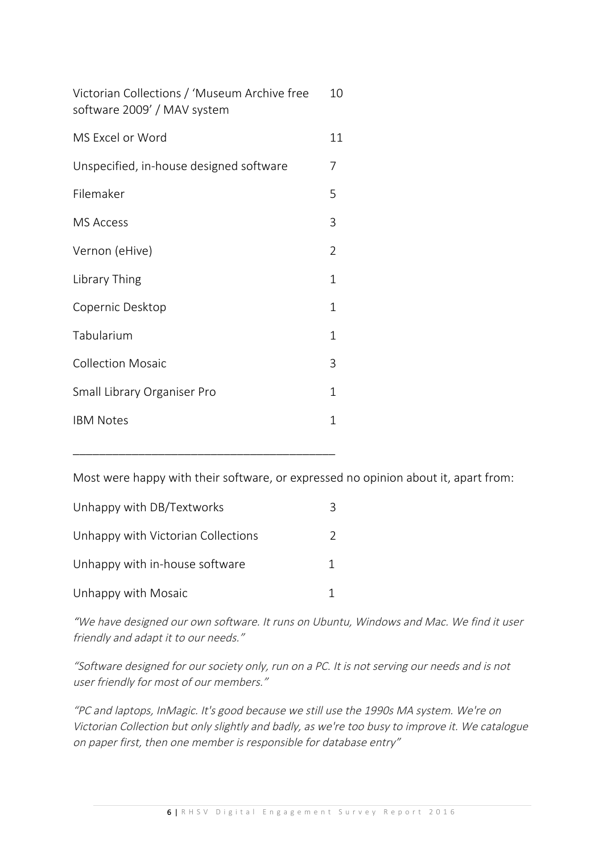| 10           |
|--------------|
| 11           |
| 7            |
| 5            |
| 3            |
| 2            |
| 1            |
| $\mathbf{1}$ |
| 1            |
| 3            |
| 1            |
| 1            |
|              |

Most were happy with their software, or expressed no opinion about it, apart from:

| Unhappy with DB/Textworks          |   |
|------------------------------------|---|
| Unhappy with Victorian Collections | 2 |
| Unhappy with in-house software     |   |
| Unhappy with Mosaic                |   |

\_\_\_\_\_\_\_\_\_\_\_\_\_\_\_\_\_\_\_\_\_\_\_\_\_\_\_\_\_\_\_\_\_\_\_\_\_\_\_\_

"We have designed our own software. It runs on Ubuntu, Windows and Mac. We find it user friendly and adapt it to our needs."

"Software designed for our society only, run on a PC. It is not serving our needs and is not user friendly for most of our members."

"PC and laptops, InMagic. It's good because we still use the 1990s MA system. We're on Victorian Collection but only slightly and badly, as we're too busy to improve it. We catalogue on paper first, then one member is responsible for database entry"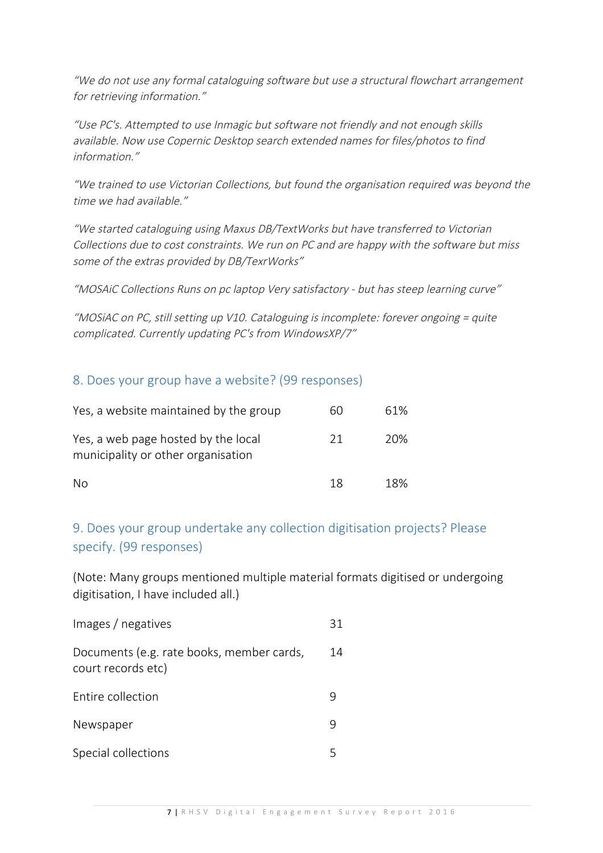"We do not use any formal cataloguing software but use a structural flowchart arrangement for retrieving information."

"Use PC's. Attempted to use Inmagic but software not friendly and not enough skills available. Now use Copernic Desktop search extended names for files/photos to find information."

"We trained to use Victorian Collections, but found the organisation required was beyond the time we had available."

"We started cataloguing using Maxus DB/TextWorks but have transferred to Victorian Collections due to cost constraints. We run on PC and are happy with the software but miss some of the extras provided by DB/TexrWorks"

"MOSAiC Collections Runs on pc laptop Very satisfactory - but has steep learning curve"

"MOSiAC on PC, still setting up V10. Cataloguing is incomplete: forever ongoing = quite complicated. Currently updating PC's from WindowsXP/7"

#### 8. Does your group have a website? (99 responses)

| Yes, a website maintained by the group                                    | 60 | 61% |
|---------------------------------------------------------------------------|----|-----|
| Yes, a web page hosted by the local<br>municipality or other organisation | 21 | 20% |
| No.                                                                       | 18 | 18% |

## 9. Does your group undertake any collection digitisation projects? Please specify. (99 responses)

(Note: Many groups mentioned multiple material formats digitised or undergoing digitisation, I have included all.)

| Images / negatives                                              | 31 |
|-----------------------------------------------------------------|----|
| Documents (e.g. rate books, member cards,<br>court records etc) | 14 |
| Entire collection                                               |    |
| Newspaper                                                       |    |
| Special collections                                             |    |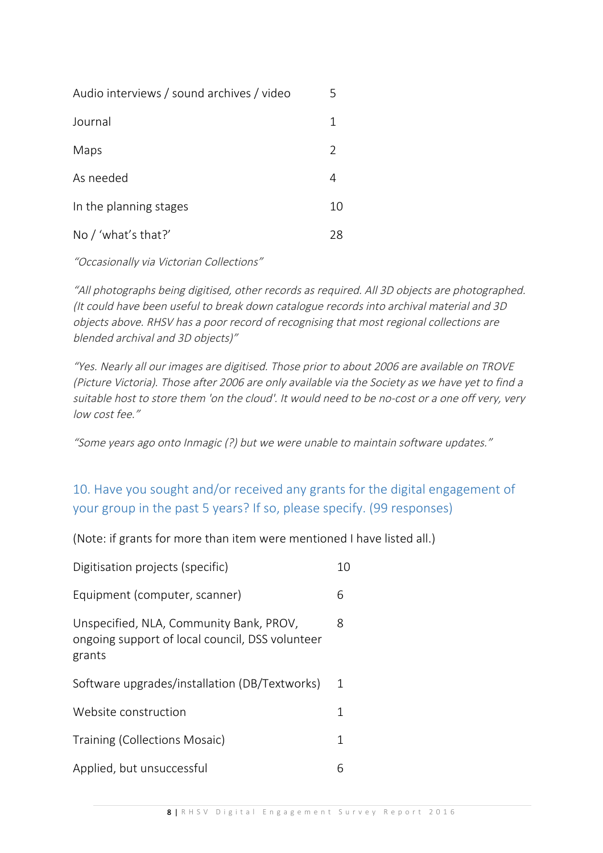| Audio interviews / sound archives / video | 5             |
|-------------------------------------------|---------------|
| Journal                                   | 1             |
| Maps                                      | $\mathcal{L}$ |
| As needed                                 | 4             |
| In the planning stages                    | 10            |
| No / 'what's that?'                       | 28            |

"Occasionally via Victorian Collections"

"All photographs being digitised, other records as required. All 3D objects are photographed. (It could have been useful to break down catalogue records into archival material and 3D objects above. RHSV has a poor record of recognising that most regional collections are blended archival and 3D objects)"

"Yes. Nearly all our images are digitised. Those prior to about 2006 are available on TROVE (Picture Victoria). Those after 2006 are only available via the Society as we have yet to find a suitable host to store them 'on the cloud'. It would need to be no-cost or a one off very, very low cost fee."

"Some years ago onto Inmagic (?) but we were unable to maintain software updates."

## 10. Have you sought and/or received any grants for the digital engagement of your group in the past 5 years? If so, please specify. (99 responses)

(Note: if grants for more than item were mentioned I have listed all.)

| Digitisation projects (specific)                                                                     | 10 |
|------------------------------------------------------------------------------------------------------|----|
| Equipment (computer, scanner)                                                                        | 6  |
| Unspecified, NLA, Community Bank, PROV,<br>ongoing support of local council, DSS volunteer<br>grants | 8  |
| Software upgrades/installation (DB/Textworks)                                                        | 1  |
| Website construction                                                                                 | 1  |
| Training (Collections Mosaic)                                                                        | 1  |
| Applied, but unsuccessful                                                                            | 6  |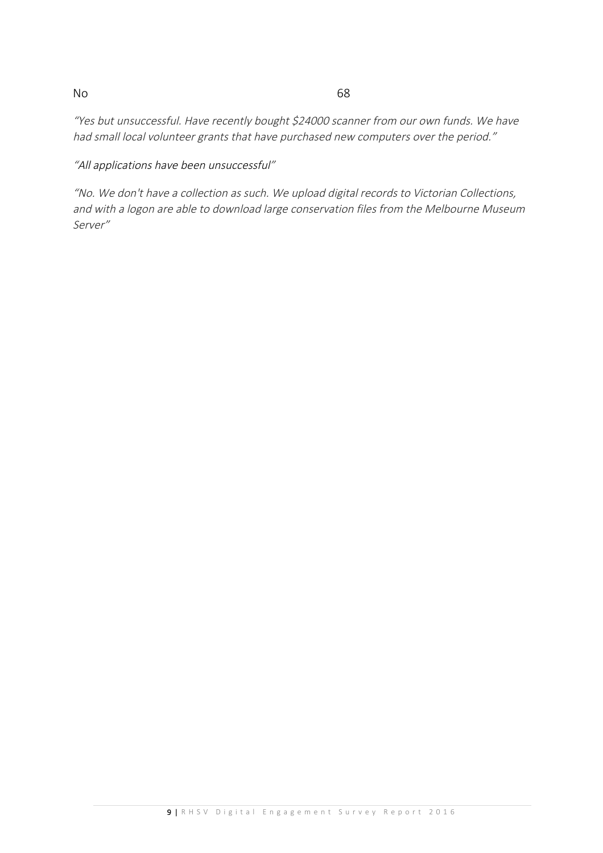#### No 68

"Yes but unsuccessful. Have recently bought \$24000 scanner from our own funds. We have had small local volunteer grants that have purchased new computers over the period."

"All applications have been unsuccessful"

"No. We don't have a collection as such. We upload digital records to Victorian Collections, and with a logon are able to download large conservation files from the Melbourne Museum Server"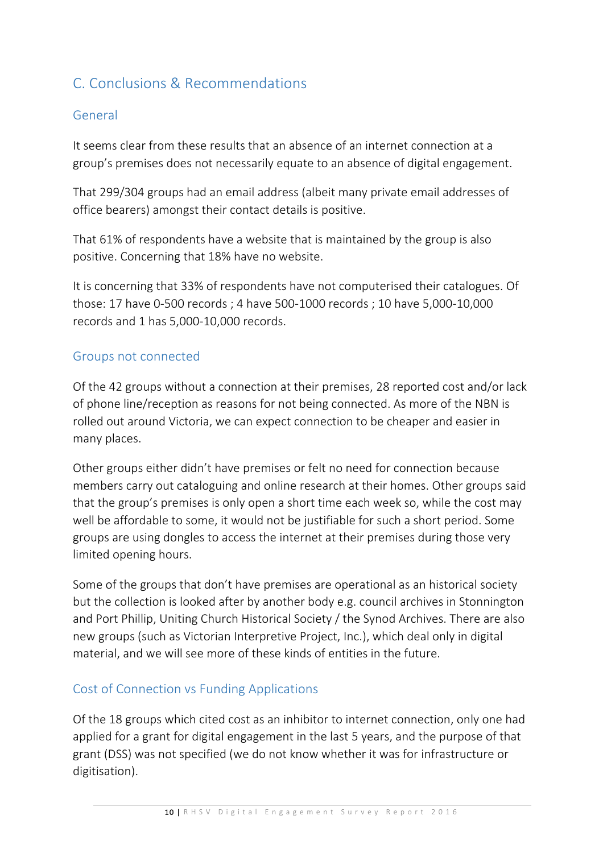## C. Conclusions & Recommendations

## General

It seems clear from these results that an absence of an internet connection at a group's premises does not necessarily equate to an absence of digital engagement.

That 299/304 groups had an email address (albeit many private email addresses of office bearers) amongst their contact details is positive.

That 61% of respondents have a website that is maintained by the group is also positive. Concerning that 18% have no website.

It is concerning that 33% of respondents have not computerised their catalogues. Of those: 17 have 0-500 records ; 4 have 500-1000 records ; 10 have 5,000-10,000 records and 1 has 5,000-10,000 records.

#### Groups not connected

Of the 42 groups without a connection at their premises, 28 reported cost and/or lack of phone line/reception as reasons for not being connected. As more of the NBN is rolled out around Victoria, we can expect connection to be cheaper and easier in many places.

Other groups either didn't have premises or felt no need for connection because members carry out cataloguing and online research at their homes. Other groups said that the group's premises is only open a short time each week so, while the cost may well be affordable to some, it would not be justifiable for such a short period. Some groups are using dongles to access the internet at their premises during those very limited opening hours.

Some of the groups that don't have premises are operational as an historical society but the collection is looked after by another body e.g. council archives in Stonnington and Port Phillip, Uniting Church Historical Society / the Synod Archives. There are also new groups (such as Victorian Interpretive Project, Inc.), which deal only in digital material, and we will see more of these kinds of entities in the future.

#### Cost of Connection vs Funding Applications

Of the 18 groups which cited cost as an inhibitor to internet connection, only one had applied for a grant for digital engagement in the last 5 years, and the purpose of that grant (DSS) was not specified (we do not know whether it was for infrastructure or digitisation).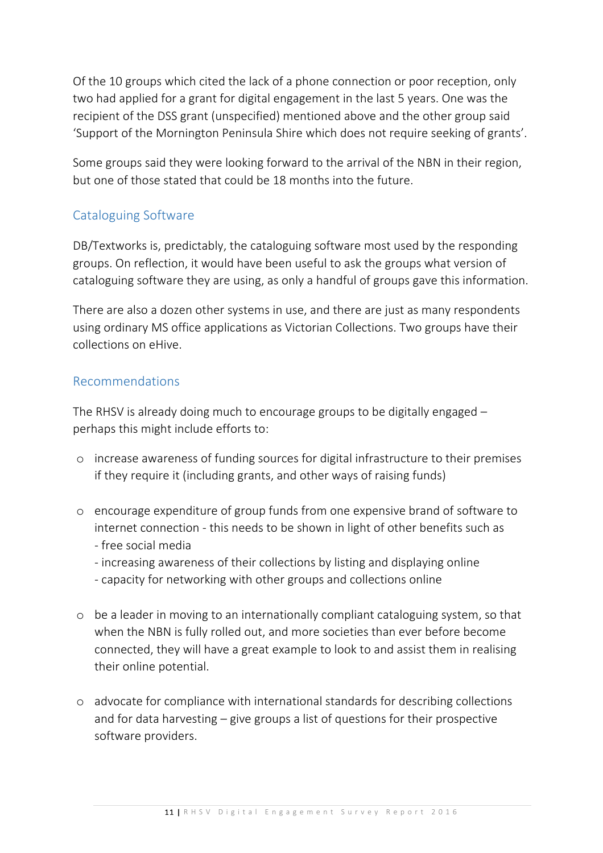Of the 10 groups which cited the lack of a phone connection or poor reception, only two had applied for a grant for digital engagement in the last 5 years. One was the recipient of the DSS grant (unspecified) mentioned above and the other group said 'Support of the Mornington Peninsula Shire which does not require seeking of grants'.

Some groups said they were looking forward to the arrival of the NBN in their region, but one of those stated that could be 18 months into the future.

## Cataloguing Software

DB/Textworks is, predictably, the cataloguing software most used by the responding groups. On reflection, it would have been useful to ask the groups what version of cataloguing software they are using, as only a handful of groups gave this information.

There are also a dozen other systems in use, and there are just as many respondents using ordinary MS office applications as Victorian Collections. Two groups have their collections on eHive.

## Recommendations

The RHSV is already doing much to encourage groups to be digitally engaged – perhaps this might include efforts to:

- o increase awareness of funding sources for digital infrastructure to their premises if they require it (including grants, and other ways of raising funds)
- o encourage expenditure of group funds from one expensive brand of software to internet connection - this needs to be shown in light of other benefits such as - free social media
	- increasing awareness of their collections by listing and displaying online
	- capacity for networking with other groups and collections online
- o be a leader in moving to an internationally compliant cataloguing system, so that when the NBN is fully rolled out, and more societies than ever before become connected, they will have a great example to look to and assist them in realising their online potential.
- o advocate for compliance with international standards for describing collections and for data harvesting – give groups a list of questions for their prospective software providers.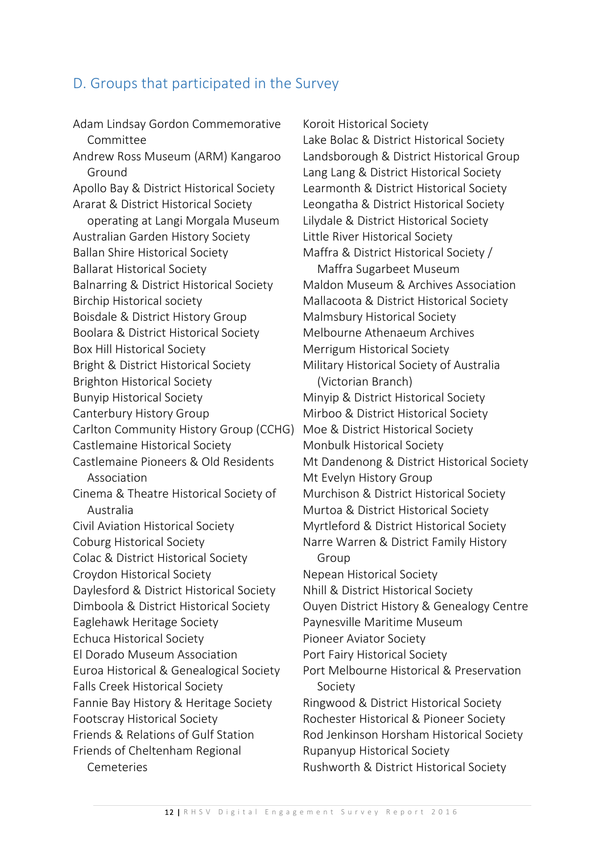## D. Groups that participated in the Survey

Adam Lindsay Gordon Commemorative Committee Andrew Ross Museum (ARM) Kangaroo Ground Apollo Bay & District Historical Society Ararat & District Historical Society operating at Langi Morgala Museum Australian Garden History Society Ballan Shire Historical Society Ballarat Historical Society Balnarring & District Historical Society Birchip Historical society Boisdale & District History Group Boolara & District Historical Society Box Hill Historical Society Bright & District Historical Society Brighton Historical Society Bunyip Historical Society Canterbury History Group Carlton Community History Group (CCHG) Castlemaine Historical Society Castlemaine Pioneers & Old Residents Association Cinema & Theatre Historical Society of Australia Civil Aviation Historical Society Coburg Historical Society Colac & District Historical Society Croydon Historical Society Daylesford & District Historical Society Dimboola & District Historical Society Eaglehawk Heritage Society Echuca Historical Society El Dorado Museum Association Euroa Historical & Genealogical Society Falls Creek Historical Society Fannie Bay History & Heritage Society Footscray Historical Society Friends & Relations of Gulf Station Friends of Cheltenham Regional Cemeteries

Koroit Historical Society Lake Bolac & District Historical Society Landsborough & District Historical Group Lang Lang & District Historical Society Learmonth & District Historical Society Leongatha & District Historical Society Lilydale & District Historical Society Little River Historical Society Maffra & District Historical Society / Maffra Sugarbeet Museum Maldon Museum & Archives Association Mallacoota & District Historical Society Malmsbury Historical Society Melbourne Athenaeum Archives Merrigum Historical Society Military Historical Society of Australia (Victorian Branch) Minyip & District Historical Society Mirboo & District Historical Society Moe & District Historical Society Monbulk Historical Society Mt Dandenong & District Historical Society Mt Evelyn History Group Murchison & District Historical Society Murtoa & District Historical Society Myrtleford & District Historical Society Narre Warren & District Family History Group Nepean Historical Society Nhill & District Historical Society Ouyen District History & Genealogy Centre Paynesville Maritime Museum Pioneer Aviator Society Port Fairy Historical Society Port Melbourne Historical & Preservation Society Ringwood & District Historical Society Rochester Historical & Pioneer Society Rod Jenkinson Horsham Historical Society Rupanyup Historical Society Rushworth & District Historical Society